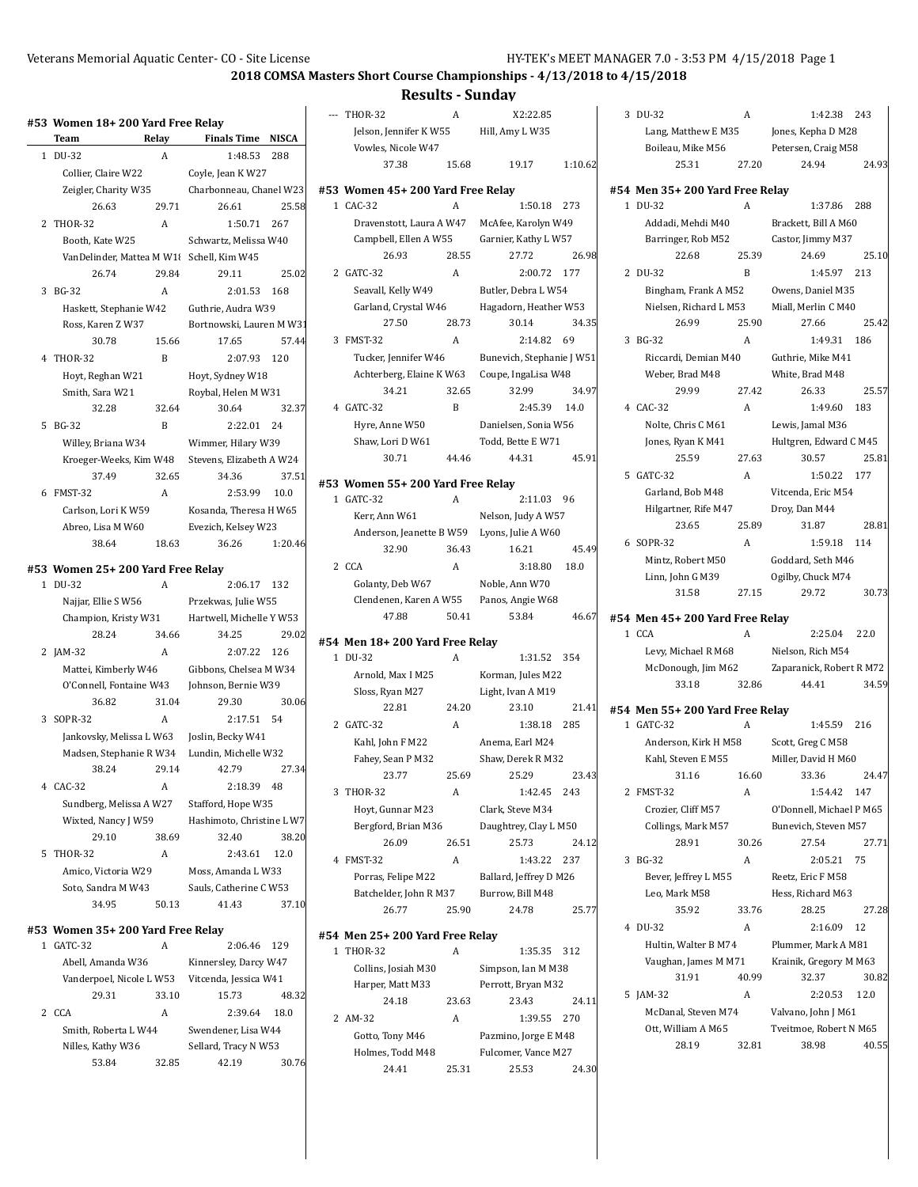#### **2018 COMSA Masters Short Course Championships - 4/13/2018 to 4/15/2018**

#### **Results - Sunday**

|              | #53 Women 18+ 200 Yard Free Relay            |                |                          |              |
|--------------|----------------------------------------------|----------------|--------------------------|--------------|
|              | Team                                         | Relay          | <b>Finals Time</b>       | <b>NISCA</b> |
| $\mathbf{1}$ | DU-32                                        | A              | 1:48.53                  | 288          |
|              | Collier, Claire W22                          |                | Coyle, Jean K W27        |              |
|              | Zeigler, Charity W35                         |                | Charbonneau, Chanel W23  |              |
|              | 26.63                                        | 29.71          | 26.61                    | 25.58        |
|              | 2 THOR-32                                    | A              | 1:50.71                  | 267          |
|              | Booth, Kate W25                              |                | Schwartz, Melissa W40    |              |
|              | VanDelinder, Mattea M W1                     |                | Schell, Kim W45          |              |
|              | 26.74                                        | 29.84          | 29.11                    | 25.02        |
| 3            | <b>BG-32</b>                                 | A              | 2:01.53                  | 168          |
|              | Haskett, Stephanie W42                       |                | Guthrie, Audra W39       |              |
|              | Ross, Karen Z W37                            |                | Bortnowski, Lauren M W31 |              |
|              | 30.78                                        | 15.66          | 17.65                    | 57.44        |
|              | 4 THOR-32                                    | $\overline{B}$ | 2:07.93                  | 120          |
|              | Hoyt, Reghan W21                             |                | Hoyt, Sydney W18         |              |
|              | Smith, Sara W21                              |                | Roybal, Helen M W31      |              |
|              | 32.28                                        | 32.64          | 30.64                    | 32.37        |
|              | 5 BG-32                                      | B              | 2:22.01                  | 24           |
|              | Willey, Briana W34                           |                | Wimmer, Hilary W39       |              |
|              | Kroeger-Weeks, Kim W48                       |                | Stevens, Elizabeth A W24 |              |
|              | 37.49                                        | 32.65          | 34.36                    | 37.51        |
|              | 6 FMST-32                                    | A              | 2:53.99                  | 10.0         |
|              | Carlson, Lori K W59                          |                | Kosanda, Theresa H W65   |              |
|              | Abreo, Lisa M W60                            |                | Evezich, Kelsey W23      |              |
|              | 38.64                                        | 18.63          | 36.26                    | 1:20.46      |
|              | #53 Women 25+ 200 Yard Free Relay            |                |                          |              |
| 1            | DU-32                                        | A              | 2:06.17                  | 132          |
|              | Najjar, Ellie S W56                          |                | Przekwas, Julie W55      |              |
|              | Champion, Kristy W31                         |                | Hartwell, Michelle Y W53 |              |
|              | 28.24                                        | 34.66          | 34.25                    | 29.02        |
|              | 2 JAM-32                                     | A              | 2:07.22                  | 126          |
|              | Mattei, Kimberly W46                         |                | Gibbons, Chelsea M W34   |              |
|              | O'Connell, Fontaine W43                      |                | Johnson, Bernie W39      |              |
|              | 36.82                                        | 31.04          | 29.30                    | 30.06        |
|              | 3 SOPR-32                                    | A              | 2:17.51                  | 54           |
|              | Jankovsky, Melissa L W63                     |                | Joslin, Becky W41        |              |
|              | Madsen, Stephanie R W34                      |                | Lundin, Michelle W32     |              |
|              | 38.24                                        | 29.14          | 42.79                    | 27.34        |
|              | 4 CAC-32                                     | A              | 2:18.39                  | 48           |
|              | Sundberg, Melissa A W27                      |                | Stafford, Hope W35       |              |
|              | Hashimoto Christine LW7<br>Wiyted Nancy LW59 |                |                          |              |

|    | Wixted, Nancy J W59 |       | Hashimoto, Christine L W7 |       |
|----|---------------------|-------|---------------------------|-------|
|    | 29.10               | 38.69 | 32.40                     | 38.20 |
| 5. | THOR-32             | А     | 2:43.61                   | 12.0  |
|    | Amico, Victoria W29 |       | Moss, Amanda L W33        |       |
|    | Soto. Sandra M W43  |       | Sauls, Catherine C W53    |       |
|    | 34.95               | 50.13 | 41.43                     | 37.10 |
|    |                     |       |                           |       |

#### **#53 Women 35+ 200 Yard Free Relay**

|                          | GATC-32           | А                     | 2:06.46              | 129   |
|--------------------------|-------------------|-----------------------|----------------------|-------|
| Abell, Amanda W36        |                   | Kinnersley, Darcy W47 |                      |       |
| Vanderpoel, Nicole L W53 |                   | Vitcenda, Jessica W41 |                      |       |
|                          | 29.31             | 33.10                 | 15.73                | 48.32 |
|                          | 2 CCA             | А                     | 2:39.64              | 18.0  |
| Smith, Roberta L W44     |                   | Swendener, Lisa W44   |                      |       |
|                          | Nilles, Kathy W36 |                       | Sellard, Tracy N W53 |       |
|                          | 53.84             | 32.85                 | 42.19                | 30.76 |
|                          |                   |                       |                      |       |

| --- THOR-32            | А     | X2:22.85        |         |
|------------------------|-------|-----------------|---------|
| Jelson, Jennifer K W55 |       | Hill, Amy L W35 |         |
| Vowles, Nicole W47     |       |                 |         |
| 37.38                  | 15.68 | 19.17           | 1:10.62 |

#### **#53 Women 45+ 200 Yard Free Relay**

1 CAC-32 A 1:50.18 273 Dravenstott, Laura A W47 McAfee, Karolyn W49 Campbell, Ellen A W55 Garnier, Kathy L W57 26.93 28.55 27.72 26.98 2 GATC-32 A 2:00.72 177 Seavall, Kelly W49 Butler, Debra L W54 Garland, Crystal W46 Hagadorn, Heather W53 27.50 28.73 30.14 34.35 3 FMST-32 A 2:14.82 69 Tucker, Jennifer W46 Bunevich, Stephanie J W51 Achterberg, Elaine K W63 Coupe, IngaLisa W48 34.21 32.65 32.99 34.97 4 GATC-32 B 2:45.39 14.0 Hyre, Anne W50 Danielsen, Sonia W56 Shaw, Lori D W61 Todd, Bette E W71 30.71 44.46 44.31 45.91

#### **#53 Women 55+ 200 Yard Free Relay**

1 GATC-32 A 2:11.03 96 Kerr, Ann W61 Nelson, Judy A W57 Anderson, Jeanette B W59 Lyons, Julie A W60 32.90 36.43 16.21 45.49 2 CCA A 3:18.80 18.0 Golanty, Deb W67 Noble, Ann W70 Clendenen, Karen A W55 Panos, Angie W68 47.88 50.41 53.84 46.67

#### **#54 Men 18+ 200 Yard Free Relay**

1 DU-32 A 1:31.52 354 Arnold, Max I M25 Korman, Jules M22 Sloss, Ryan M27 Light, Ivan A M19 22.81 24.20 23.10 21.41 2 GATC-32 A 1:38.18 285 Kahl, John F M22 Anema, Earl M24 Fahey, Sean P M32 Shaw, Derek R M32 23.77 25.69 25.29 23.43 3 THOR-32 A 1:42.45 243 Hoyt, Gunnar M23 Clark, Steve M34 Bergford, Brian M36 Daughtrey, Clay L M50 26.09 26.51 25.73 24.12 4 FMST-32 A 1:43.22 237 Porras, Felipe M22 Ballard, Jeffrey D M26 Batchelder, John R M37 Burrow, Bill M48 26.77 25.90 24.78 25.77

#### **#54 Men 25+ 200 Yard Free Relay**

| <b>THOR-32</b>      | A     | 1:35.35 312          |       |
|---------------------|-------|----------------------|-------|
| Collins, Josiah M30 |       | Simpson, Ian M M38   |       |
| Harper, Matt M33    |       | Perrott, Bryan M32   |       |
| 24.18               | 23.63 | 23.43                | 24.11 |
| AM-32               | A     | 1:39.55              | 270   |
| Gotto, Tony M46     |       | Pazmino, Jorge E M48 |       |
| Holmes. Todd M48    |       | Fulcomer, Vance M27  |       |
| 24.41               | 25.31 | 25.53                | 24.30 |

| 3 DU-32             | А     | 1:42.38 243         |       |
|---------------------|-------|---------------------|-------|
| Lang, Matthew E M35 |       | Jones, Kepha D M28  |       |
| Boileau, Mike M56   |       | Petersen, Craig M58 |       |
| 25.31               | 27.20 | 24.94               | 24.93 |
|                     |       |                     |       |

|              | #54 Men 35+ 200 Yard Free Relay |                |                        |       |
|--------------|---------------------------------|----------------|------------------------|-------|
| $\mathbf{1}$ | DU-32                           | A              | 1:37.86 288            |       |
|              | Addadi, Mehdi M40               |                | Brackett, Bill A M60   |       |
|              | Barringer, Rob M52              |                | Castor, Jimmy M37      |       |
|              | 22.68                           | 25.39          | 24.69                  | 25.10 |
|              | 2 DU-32                         | $\mathbf{B}$   | 1:45.97 213            |       |
|              | Bingham, Frank A M52            |                | Owens, Daniel M35      |       |
|              | Nielsen, Richard L M53          |                | Miall, Merlin C M40    |       |
|              | 26.99                           | 25.90          | 27.66                  | 25.42 |
|              | 3 BG-32                         | $\overline{A}$ | 1:49.31                | 186   |
|              | Riccardi, Demian M40            |                | Guthrie, Mike M41      |       |
|              | Weber, Brad M48                 |                | White, Brad M48        |       |
|              | 29.99                           | 27.42          | 26.33                  | 25.57 |
|              | 4 CAC-32                        | A              | 1:49.60                | 183   |
|              | Nolte, Chris C M61              |                | Lewis, Jamal M36       |       |
|              | Jones, Ryan K M41               |                | Hultgren, Edward C M45 |       |
|              | 25.59                           | 27.63          | 30.57                  | 25.81 |
|              | 5 GATC-32                       | A              | 1:50.22 177            |       |
|              | Garland, Bob M48                |                | Vitcenda, Eric M54     |       |
|              | Hilgartner, Rife M47            |                | Droy, Dan M44          |       |
|              | 23.65                           | 25.89          | 31.87                  | 28.81 |
|              | 6 SOPR-32                       | $\overline{A}$ | 1:59.18                | 114   |
|              | Mintz, Robert M50               |                | Goddard, Seth M46      |       |
|              | Linn, John G M39                |                | Ogilby, Chuck M74      |       |
|              | 31.58                           | 27.15          | 29.72                  | 30.73 |

#### **#54 Men 45+ 200 Yard Free Relay**

| 1 CCA               |       | 2:25.04                  | 22.0  |
|---------------------|-------|--------------------------|-------|
| Levy, Michael R M68 |       | Nielson, Rich M54        |       |
| McDonough, Jim M62  |       | Zaparanick, Robert R M72 |       |
| 33.18               | 32.86 | 44.41                    | 34.59 |

### **#54 Men 55+ 200 Yard Free Relay**

1 GATC-32 A 1:45.59 216 Anderson, Kirk H M58 Scott, Greg C M58 Kahl, Steven E M55 Miller, David H M60 31.16 16.60 33.36 24.47 2 FMST-32 A 1:54.42 147 Crozier, Cliff M57 O'Donnell, Michael P M65 Collings, Mark M57 Bunevich, Steven M57 28.91 30.26 27.54 27.71 3 BG-32 A 2:05.21 75 Bever, Jeffrey L M55 Reetz, Eric F M58 Leo, Mark M58 Hess, Richard M63 35.92 33.76 28.25 27.28 4 DU-32 A 2:16.09 12 Hultin, Walter B M74 Plummer, Mark A M81 Vaughan, James M M71 Krainik, Gregory M M63 31.91 40.99 32.37 30.82 5 JAM-32 A 2:20.53 12.0 McDanal, Steven M74 Valvano, John J M61 Ott, William A M65 Tveitmoe, Robert N M65 28.19 32.81 38.98 40.55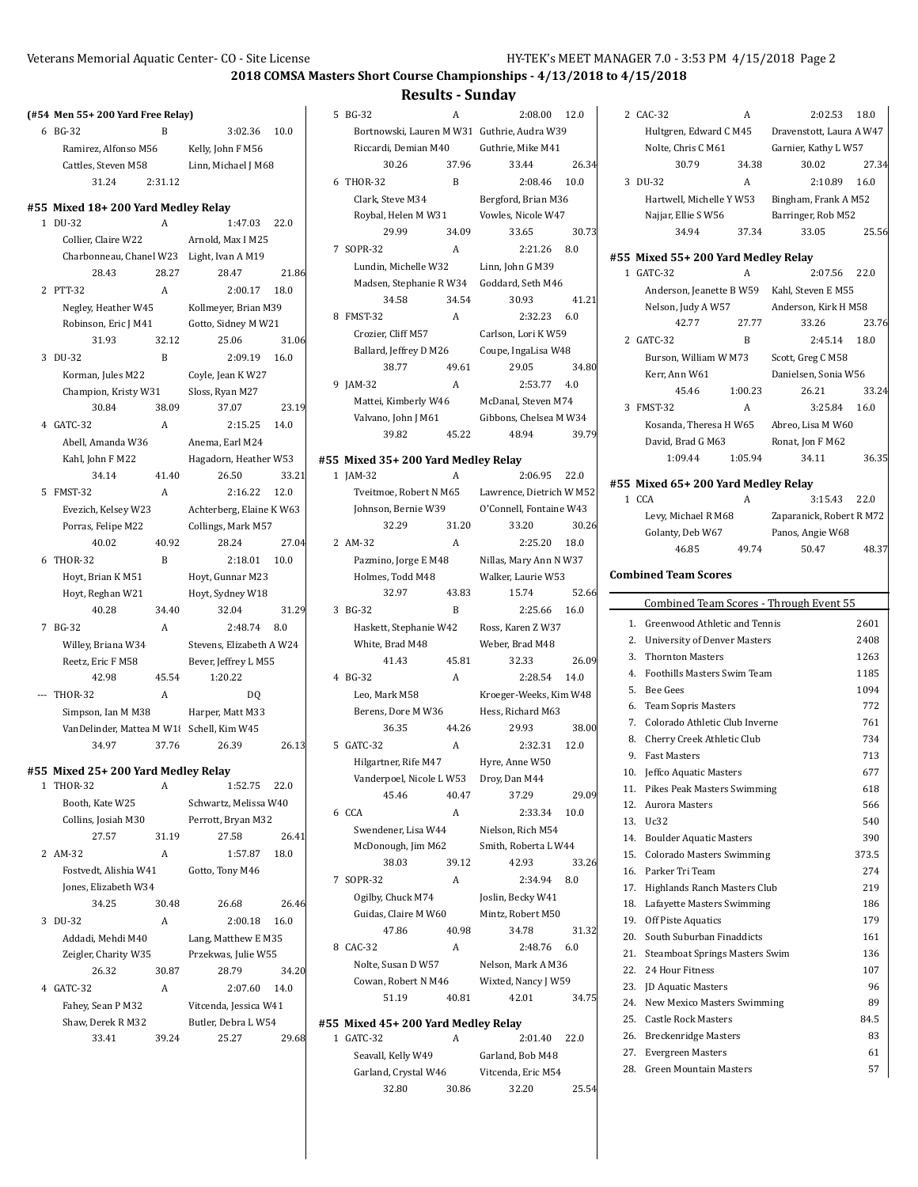### **2018 COMSA Masters Short Course Championships - 4/13/2018 to 4/15/2018**

#### **Results - Sunday**

|  | (#54 Men 55+ 200 Yard Free Relay) |
|--|-----------------------------------|
|--|-----------------------------------|

| 6 BG-32              | в       | 3:02.36             | 10.0 |
|----------------------|---------|---------------------|------|
| Ramirez, Alfonso M56 |         | Kelly, John F M56   |      |
| Cattles, Steven M58  |         | Linn, Michael J M68 |      |
| 31.24                | 2:31.12 |                     |      |

### **#55 Mixed 18+ 200 Yard Medley Relay**

1 DU-32 A 1:47.03 22.0 Collier, Claire W22 Arnold, Max I M25 Charbonneau, Chanel W23 Light, Ivan A M19 28.43 28.27 28.47 21.86 2 PTT-32 A 2:00.17 18.0 Negley, Heather W45 Kollmeyer, Brian M39 Robinson, Eric J M41 Gotto, Sidney M W21 31.93 32.12 25.06 31.06 3 DU-32 B 2:09.19 16.0 Korman, Jules M22 Coyle, Jean K W27 Champion, Kristy W31 Sloss, Ryan M27 30.84 38.09 37.07 23.19 4 GATC-32 A 2:15.25 14.0 Abell, Amanda W36 Anema, Earl M24 Kahl, John F M22 Hagadorn, Heather W53 34.14 41.40 26.50 33.21 5 FMST-32 A 2:16.22 12.0 Evezich, Kelsey W23 Achterberg, Elaine K W63 Porras, Felipe M22 Collings, Mark M57 40.02 40.92 28.24 27.04 6 THOR-32 B 2:18.01 10.0 Hoyt, Brian K M51 Hoyt, Gunnar M23 Hoyt, Reghan W21 Hoyt, Sydney W18 40.28 34.40 32.04 31.29 7 BG-32 A 2:48.74 8.0 Willey, Briana W34 Stevens, Elizabeth A W24 Reetz, Eric F M58 Bever, Jeffrey L M55 42.98 45.54 1:20.22 --- THOR-32 A DQ Simpson, Ian M M38 Harper, Matt M33 VanDelinder, Mattea M W18 Schell, Kim W45 34.97 37.76 26.39 26.13

# **#55 Mixed 25+ 200 Yard Medley Relay**

- A 1:52.75 22.0 Booth, Kate W25 Schwartz, Melissa W40 Collins, Josiah M30 Perrott, Bryan M32 27.57 31.19 27.58 26.41 2 AM-32 A 1:57.87 18.0
- Fostvedt, Alishia W41 Gotto, Tony M46 Jones, Elizabeth W34 34.25 30.48 26.68 26.46 3 DU-32 A 2:00.18 16.0 Addadi, Mehdi M40 Lang, Matthew E M35 Zeigler, Charity W35 Przekwas, Julie W55
- 26.32 30.87 28.79 34.20 4 GATC-32 A 2:07.60 14.0 Fahey, Sean P M32 Vitcenda, Jessica W41 Shaw, Derek R M32 Butler, Debra L W54 33.41 39.24 25.27 29.68

5 BG-32 A 2:08.00 12.0 Bortnowski, Lauren M W31 Guthrie, Audra W39 Riccardi, Demian M40 Guthrie, Mike M41 30.26 37.96 33.44 26.34 6 THOR-32 B 2:08.46 10.0 Clark, Steve M34 Bergford, Brian M36 Roybal, Helen M W31 Vowles, Nicole W47 29.99 34.09 33.65 30.73 7 SOPR-32 A 2:21.26 8.0 Lundin, Michelle W32 Linn, John G M39 Madsen, Stephanie R W34 Goddard, Seth M46 34.58 34.54 30.93 41.21 8 FMST-32 A 2:32.23 6.0 Crozier, Cliff M57 Carlson, Lori K W59 Ballard, Jeffrey D M26 Coupe, IngaLisa W48 38.77 49.61 29.05 34.80 9 JAM-32 A 2:53.77 4.0 Mattei, Kimberly W46 McDanal, Steven M74 Valvano, John J M61 Gibbons, Chelsea M W34 39.82 45.22 48.94 39.79

#### **#55 Mixed 35+ 200 Yard Medley Relay**

- 1 JAM-32 A 2:06.95 22.0 Tveitmoe, Robert N M65 Lawrence, Dietrich W M52 Johnson, Bernie W39 O'Connell, Fontaine W43 32.29 31.20 33.20 30.26 2 AM-32 A 2:25.20 18.0 Pazmino, Jorge E M48 Nillas, Mary Ann N W37 Holmes, Todd M48 Walker, Laurie W53 32.97 43.83 15.74 52.66 3 BG-32 B 2:25.66 16.0 Haskett, Stephanie W42 Ross, Karen Z W37 White, Brad M48 Weber, Brad M48 41.43 45.81 32.33 26.09 4 BG-32 A 2:28.54 14.0 Leo, Mark M58 Kroeger-Weeks, Kim W48 Berens, Dore M W36 Hess, Richard M63 36.35 44.26 29.93 38.00 5 GATC-32 A 2:32.31 12.0 Hilgartner, Rife M47 Hyre, Anne W50 Vanderpoel, Nicole L W53 Droy, Dan M44 45.46 40.47 37.29 29.09 6 CCA A 2:33.34 10.0 Swendener, Lisa W44 Nielson, Rich M54 McDonough, Jim M62 Smith, Roberta L W44 38.03 39.12 42.93 33.26 7 SOPR-32 A 2:34.94 8.0 Ogilby, Chuck M74 Joslin, Becky W41 Guidas, Claire M W60 Mintz, Robert M50 47.86 40.98 34.78 31.32 8 CAC-32 A 2:48.76 6.0 Nolte, Susan D W57 Nelson, Mark A M36 Cowan, Robert N M46 Wixted, Nancy J W59 51.19 40.81 42.01 34.75 **#55 Mixed 45+ 200 Yard Medley Relay**
- 1 GATC-32 A 2:01.40 22.0 Seavall, Kelly W49 Garland, Bob M48 Garland, Crystal W46 Vitcenda, Eric M54 32.80 30.86 32.20 25.54

|              | 2 CAC-32                                  | Α                                                  | 2:02.53                                     | 18.0  |
|--------------|-------------------------------------------|----------------------------------------------------|---------------------------------------------|-------|
|              |                                           | Dravenstott, Laura A W47<br>Hultgren, Edward C M45 |                                             |       |
|              | Nolte, Chris C M61                        |                                                    | Garnier, Kathy L W57                        |       |
|              | 30.79                                     | 34.38                                              | 30.02                                       | 27.34 |
|              | 3 DU-32                                   | A                                                  | 2:10.89                                     | 16.0  |
|              | Hartwell, Michelle Y W53                  |                                                    | Bingham, Frank A M52                        |       |
|              | Najjar, Ellie S W56                       |                                                    | Barringer, Rob M52                          |       |
|              | 34.94                                     | 37.34                                              | 33.05                                       | 25.56 |
|              | #55 Mixed 55+ 200 Yard Medley Relay       |                                                    |                                             |       |
| $\mathbf{1}$ | GATC-32                                   | A                                                  | 2:07.56                                     | 22.0  |
|              |                                           |                                                    | Anderson, Jeanette B W59 Kahl, Steven E M55 |       |
|              | Nelson, Judy A W57                        |                                                    | Anderson, Kirk H M58                        |       |
|              | 42.77                                     | 27.77                                              | 33.26                                       | 23.76 |
|              | 2 GATC-32                                 | B                                                  | 2:45.14                                     | 18.0  |
|              | Burson, William W M73                     |                                                    | Scott, Greg CM58                            |       |
|              | Kerr, Ann W61                             |                                                    | Danielsen, Sonia W56                        |       |
|              | 45.46                                     | 1:00.23                                            | 26.21                                       | 33.24 |
| 3            | FMST-32                                   | A                                                  | 3:25.84                                     | 16.0  |
|              | Kosanda, Theresa H W65                    |                                                    | Abreo, Lisa M W60                           |       |
|              | David, Brad G M63                         |                                                    | Ronat, Jon F M62                            |       |
|              | 1:09.44                                   | 1:05.94                                            | 34.11                                       | 36.35 |
|              | #55 Mixed 65+ 200 Yard Medley Relay       |                                                    |                                             |       |
|              | 1 CCA                                     | A                                                  | 3:15.43                                     | 22.0  |
|              | Levy, Michael R M68                       |                                                    | Zaparanick, Robert R M72                    |       |
|              | Golanty, Deb W67                          |                                                    | Panos, Angie W68                            |       |
|              | 46.85                                     | 49.74                                              | 50.47                                       | 48.37 |
|              | <b>Combined Team Scores</b>               |                                                    |                                             |       |
|              |                                           |                                                    |                                             |       |
|              |                                           |                                                    | Combined Team Scores - Through Event 55     |       |
|              | 1.<br>Greenwood Athletic and Tennis       |                                                    |                                             | 2601  |
|              | 2.<br><b>University of Denver Masters</b> |                                                    |                                             | 2408  |
|              | 3.<br><b>Thornton Masters</b>             |                                                    |                                             | 1263  |
|              | 4.<br><b>Foothills Masters Swim Team</b>  |                                                    |                                             | 1185  |
|              | <b>Bee Gees</b><br>5.                     |                                                    |                                             | 1094  |
|              | 6.<br><b>Team Sopris Masters</b>          |                                                    |                                             | 772   |
|              | Colorado Athletic Club Inverne<br>7.      |                                                    |                                             | 761   |
|              | Cherry Creek Athletic Club<br>8.          |                                                    |                                             | 734   |
|              | 9.<br><b>Fast Masters</b>                 |                                                    |                                             | 713   |
| 10.          | Jeffco Aquatic Masters                    |                                                    |                                             | 677   |

| Foothills Masters Swim Team           | 1185                                                                                                                                                                                                                                                                                              |
|---------------------------------------|---------------------------------------------------------------------------------------------------------------------------------------------------------------------------------------------------------------------------------------------------------------------------------------------------|
| <b>Bee Gees</b>                       | 1094                                                                                                                                                                                                                                                                                              |
| <b>Team Sopris Masters</b>            | 772                                                                                                                                                                                                                                                                                               |
| Colorado Athletic Club Inverne        | 761                                                                                                                                                                                                                                                                                               |
| Cherry Creek Athletic Club            | 734                                                                                                                                                                                                                                                                                               |
| <b>Fast Masters</b>                   | 713                                                                                                                                                                                                                                                                                               |
|                                       | 677                                                                                                                                                                                                                                                                                               |
|                                       | 618                                                                                                                                                                                                                                                                                               |
|                                       | 566                                                                                                                                                                                                                                                                                               |
|                                       | 540                                                                                                                                                                                                                                                                                               |
|                                       | 390                                                                                                                                                                                                                                                                                               |
|                                       | 373.5                                                                                                                                                                                                                                                                                             |
|                                       | 274                                                                                                                                                                                                                                                                                               |
| Highlands Ranch Masters Club          | 219                                                                                                                                                                                                                                                                                               |
| Lafayette Masters Swimming            | 186                                                                                                                                                                                                                                                                                               |
| <b>Off Piste Aquatics</b>             | 179                                                                                                                                                                                                                                                                                               |
| South Suburban Finaddicts             | 161                                                                                                                                                                                                                                                                                               |
| <b>Steamboat Springs Masters Swim</b> | 136                                                                                                                                                                                                                                                                                               |
|                                       | 107                                                                                                                                                                                                                                                                                               |
|                                       | 96                                                                                                                                                                                                                                                                                                |
|                                       | 89                                                                                                                                                                                                                                                                                                |
|                                       | 84.5                                                                                                                                                                                                                                                                                              |
| <b>Breckenridge Masters</b>           | 83                                                                                                                                                                                                                                                                                                |
| <b>Evergreen Masters</b>              | 61                                                                                                                                                                                                                                                                                                |
|                                       | Jeffco Aquatic Masters<br>11. Pikes Peak Masters Swimming<br>12. Aurora Masters<br>13. Uc32<br>14. Boulder Aquatic Masters<br>15. Colorado Masters Swimming<br>16. Parker Tri Team<br>22. 24 Hour Fitness<br>23. JD Aquatic Masters<br>24. New Mexico Masters Swimming<br>25. Castle Rock Masters |

28. Green Mountain Masters 57